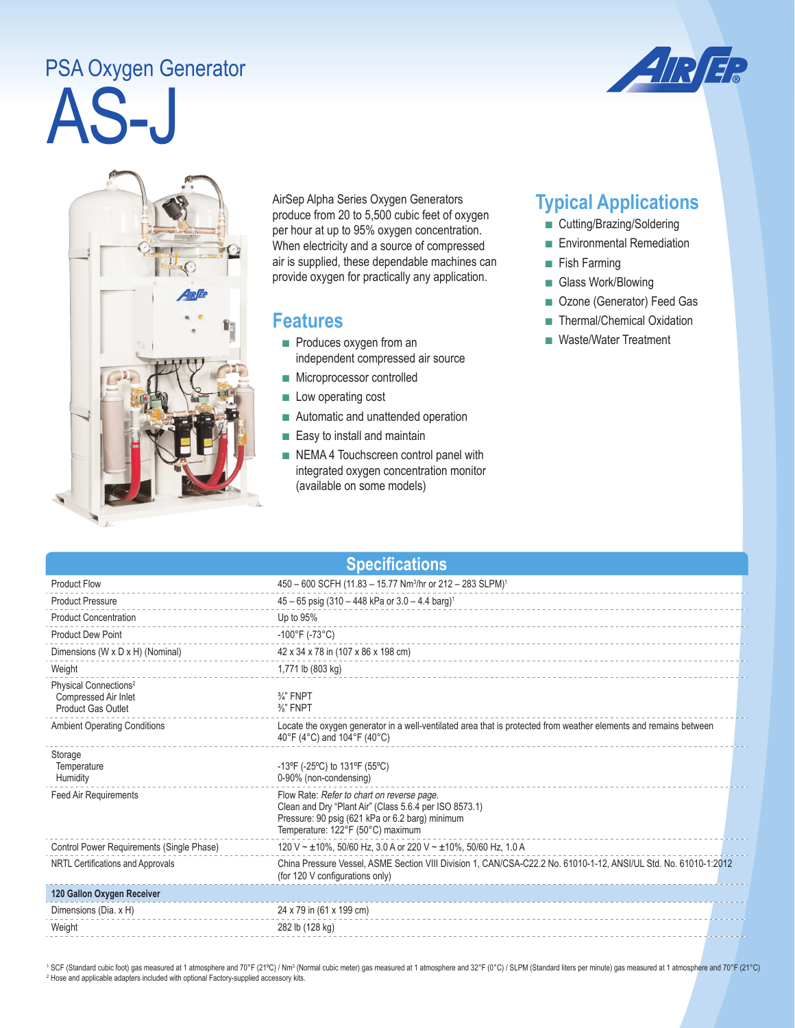## AS-J PSA Oxygen Generator





AirSep Alpha Series Oxygen Generators produce from 20 to 5,500 cubic feet of oxygen per hour at up to 95% oxygen concentration. When electricity and a source of compressed air is supplied, these dependable machines can provide oxygen for practically any application.

## **Features**

- Produces oxygen from an independent compressed air source
- Microprocessor controlled
- Low operating cost
- Automatic and unattended operation
- Easy to install and maintain
- NEMA 4 Touchscreen control panel with integrated oxygen concentration monitor (available on some models)

## **Typical Applications**

- Cutting/Brazing/Soldering
- Environmental Remediation
- Fish Farming
- Glass Work/Blowing
- Ozone (Generator) Feed Gas
- Thermal/Chemical Oxidation
- Waste/Water Treatment

| <b>Specifications</b>                                                                  |                                                                                                                                                                                              |  |  |
|----------------------------------------------------------------------------------------|----------------------------------------------------------------------------------------------------------------------------------------------------------------------------------------------|--|--|
| <b>Product Flow</b>                                                                    | 450 - 600 SCFH (11.83 - 15.77 Nm <sup>3</sup> /hr or 212 - 283 SLPM) <sup>1</sup>                                                                                                            |  |  |
| <b>Product Pressure</b>                                                                | 45 - 65 psig (310 - 448 kPa or 3.0 - 4.4 barg) <sup>1</sup>                                                                                                                                  |  |  |
| <b>Product Concentration</b>                                                           | Up to 95%                                                                                                                                                                                    |  |  |
| <b>Product Dew Point</b>                                                               | $-100^{\circ}$ F (-73 $^{\circ}$ C)                                                                                                                                                          |  |  |
| Dimensions (W x D x H) (Nominal)                                                       | 42 x 34 x 78 in (107 x 86 x 198 cm)                                                                                                                                                          |  |  |
| Weight                                                                                 | 1,771 lb (803 kg)                                                                                                                                                                            |  |  |
| Physical Connections <sup>2</sup><br>Compressed Air Inlet<br><b>Product Gas Outlet</b> | $\frac{3}{4}$ " FNPT<br>$\frac{3}{8}$ " FNPT                                                                                                                                                 |  |  |
| <b>Ambient Operating Conditions</b>                                                    | Locate the oxygen generator in a well-ventilated area that is protected from weather elements and remains between<br>40°F (4°C) and 104°F (40°C)                                             |  |  |
| Storage<br>Temperature<br>Humidity                                                     | -13°F (-25°C) to 131°F (55°C)<br>0-90% (non-condensing)                                                                                                                                      |  |  |
| <b>Feed Air Requirements</b>                                                           | Flow Rate: Refer to chart on reverse page.<br>Clean and Dry "Plant Air" (Class 5.6.4 per ISO 8573.1)<br>Pressure: 90 psig (621 kPa or 6.2 barg) minimum<br>Temperature: 122°F (50°C) maximum |  |  |
| Control Power Requirements (Single Phase)                                              | 120 V ~ ±10%, 50/60 Hz, 3.0 A or 220 V ~ ±10%, 50/60 Hz, 1.0 A                                                                                                                               |  |  |
| NRTL Certifications and Approvals                                                      | China Pressure Vessel, ASME Section VIII Division 1, CAN/CSA-C22.2 No. 61010-1-12, ANSI/UL Std. No. 61010-1:2012<br>(for 120 V configurations only)                                          |  |  |
| 120 Gallon Oxygen Receiver                                                             |                                                                                                                                                                                              |  |  |
| Dimensions (Dia. x H)                                                                  | 24 x 79 in (61 x 199 cm)                                                                                                                                                                     |  |  |
| Weight                                                                                 | 282 lb (128 kg)                                                                                                                                                                              |  |  |

<sup>1</sup> SCF (Standard cubic foot) gas measured at 1 atmosphere and 70°F (21°C) / Nm<sup>3</sup> (Normal cubic meter) gas measured at 1 atmosphere and 32°F (0°C) / SLPM (Standard liters per minute) gas measured at 1 atmosphere and 70°F <sup>2</sup> Hose and applicable adapters included with optional Factory-supplied accessory kits.